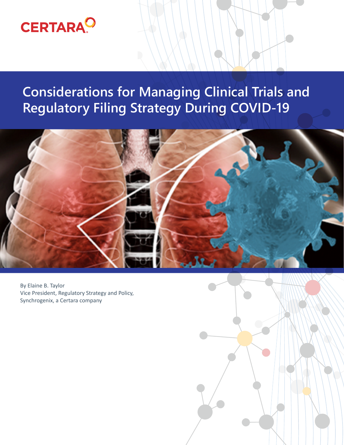# **CERTARA<sup>O</sup>**

**Considerations for Managing Clinical Trials and Regulatory Filing Strategy During COVID-19**



By Elaine B. Taylor Vice President, Regulatory Strategy and Policy, Synchrogenix, a Certara company

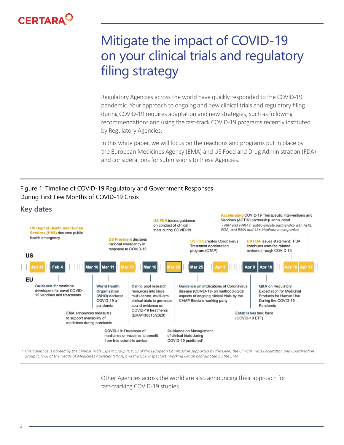

## Mitigate the impact of COVID-19 on your clinical trials and regulatory filing strategy

Regulatory Agencies across the world have quickly responded to the COVID-19 pandemic. Your approach to ongoing and new clinical trials and regulatory filing during COVID-19 requires adaptation and new strategies, such as following recommendations and using the fast-track COVID-19 programs recently instituted by Regulatory Agencies.

In this white paper, we will focus on the reactions and programs put in place by the European Medicines Agency (EMA) and US Food and Drug Administration (FDA) and considerations for submissions to these Agencies.

Figure 1. Timeline of COVID-19 Regulatory and Government Responses During First Few Months of COVID-19 Crisis



<sup>1</sup> This guidance is agreed by the Clinical Trials Expert Group (CTEG) of the European Commission supported by the EMA, the Clinical Trials Facilitation and Coordination Group (CTFG) of the Heads of Medicines Agencies (HMA) and the GCP Inspectors' Working Group coordinated by the EMA

> Other Agencies across the world are also announcing their approach for fast-tracking COVID-19 studies.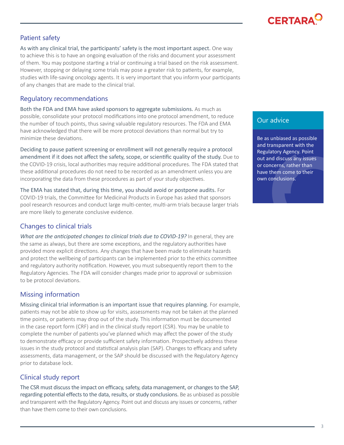## **CERTARA<sup>C</sup>**

## Patient safety

As with any clinical trial, the participants' safety is the most important aspect. One way to achieve this is to have an ongoing evaluation of the risks and document your assessment of them. You may postpone starting a trial or continuing a trial based on the risk assessment. However, stopping or delaying some trials may pose a greater risk to patients, for example, studies with life-saving oncology agents. It is very important that you inform your participants of any changes that are made to the clinical trial.

### Regulatory recommendations

Both the FDA and EMA have asked sponsors to aggregate submissions. As much as possible, consolidate your protocol modifications into one protocol amendment, to reduce the number of touch points, thus saving valuable regulatory resources. The FDA and EMA have acknowledged that there will be more protocol deviations than normal but try to minimize these deviations.

Deciding to pause patient screening or enrollment will not generally require a protocol amendment if it does not affect the safety, scope, or scientific quality of the study. Due to the COVID-19 crisis, local authorities may require additional procedures. The FDA stated that these additional procedures do not need to be recorded as an amendment unless you are incorporating the data from these procedures as part of your study objectives.

The EMA has stated that, during this time, you should avoid or postpone audits. For COVID-19 trials, the Committee for Medicinal Products in Europe has asked that sponsors pool research resources and conduct large multi-center, multi-arm trials because larger trials are more likely to generate conclusive evidence.

## Changes to clinical trials

*What are the anticipated changes to clinical trials due to COVID-19?* In general, they are the same as always, but there are some exceptions, and the regulatory authorities have provided more explicit directions. Any changes that have been made to eliminate hazards and protect the wellbeing of participants can be implemented prior to the ethics committee and regulatory authority notification. However, you must subsequently report them to the Regulatory Agencies. The FDA will consider changes made prior to approval or submission to be protocol deviations.

## Missing information

Missing clinical trial information is an important issue that requires planning. For example, patients may not be able to show up for visits, assessments may not be taken at the planned time points, or patients may drop out of the study. This information must be documented in the case report form (CRF) and in the clinical study report (CSR). You may be unable to complete the number of patients you've planned which may affect the power of the study to demonstrate efficacy or provide sufficient safety information. Prospectively address these issues in the study protocol and statistical analysis plan (SAP). Changes to efficacy and safety assessments, data management, or the SAP should be discussed with the Regulatory Agency prior to database lock.

## Clinical study report

The CSR must discuss the impact on efficacy, safety, data management, or changes to the SAP, regarding potential effects to the data, results, or study conclusions. Be as unbiased as possible and transparent with the Regulatory Agency. Point out and discuss any issues or concerns, rather than have them come to their own conclusions.

#### Our advice

Be as unbiased as possible and transparent with the Regulatory Agency. Point out and discuss any issues or concerns, rather than have them come to their own conclusions.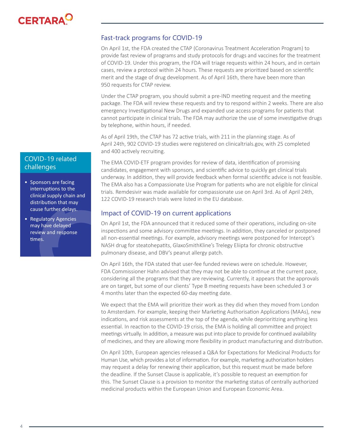

#### Fast-track programs for COVID-19

On April 1st, the FDA created the CTAP (Coronavirus Treatment Acceleration Program) to provide fast review of programs and study protocols for drugs and vaccines for the treatment of COVID-19. Under this program, the FDA will triage requests within 24 hours, and in certain cases, review a protocol within 24 hours. These requests are prioritized based on scientific merit and the stage of drug development. As of April 16th, there have been more than 950 requests for CTAP review.

Under the CTAP program, you should submit a pre-IND meeting request and the meeting package. The FDA will review these requests and try to respond within 2 weeks. There are also emergency Investigational New Drugs and expanded use access programs for patients that cannot participate in clinical trials. The FDA may authorize the use of some investigative drugs by telephone, within hours, if needed.

As of April 19th, the CTAP has 72 active trials, with 211 in the planning stage. As of April 24th, 902 COVID-19 studies were registered on clinicaltrials.gov, with 25 completed and 400 actively recruiting.

The EMA COVID-ETF program provides for review of data, identification of promising candidates, engagement with sponsors, and scientific advice to quickly get clinical trials underway. In addition, they will provide feedback when formal scientific advice is not feasible. The EMA also has a Compassionate Use Program for patients who are not eligible for clinical trials. Remdesivir was made available for compassionate use on April 3rd. As of  April 24th, 122 COVID-19 research trials were listed in the EU database.

#### Impact of COVID-19 on current applications

On April 1st, the FDA announced that it reduced some of their operations, including on-site inspections and some advisory committee meetings. In addition, they canceled or postponed all non-essential meetings. For example, advisory meetings were postponed for Intercept's NASH drug for steatohepatits, GlaxoSmithKline's Trelegy Eliipta for chronic obstructive pulmonary disease, and DBV's peanut allergy patch.

On April 16th, the FDA stated that user-fee funded reviews were on schedule. However, FDA Commissioner Hahn advised that they may not be able to continue at the current pace, considering all the programs that they are reviewing. Currently, it appears that the approvals are on target, but some of our clients' Type B meeting requests have been scheduled 3 or 4 months later than the expected 60-day meeting date.

We expect that the EMA will prioritize their work as they did when they moved from London to Amsterdam. For example, keeping their Marketing Authorisation Applications (MAAs), new indications, and risk assessments at the top of the agenda, while deprioritizing anything less essential. In reaction to the COVID-19 crisis, the EMA is holding all committee and project meetings virtually. In addition, a measure was put into place to provide for continued availability of medicines, and they are allowing more flexibility in product manufacturing and distribution.

On April 10th, European agencies released a Q&A for Expectations for Medicinal Products for Human Use, which provides a lot of information. For example, marketing authorization holders may request a delay for renewing their application, but this request must be made before the deadline. If the Sunset Clause is applicable, it's possible to request an exemption for this. The Sunset Clause is a provision to monitor the marketing status of centrally authorized medicinal products within the European Union and European Economic Area.

#### COVID-19 related challenges

- Sponsors are facing interruptions to the clinical supply chain and distribution that may cause further delays.
- Regulatory Agencies may have delayed review and response times.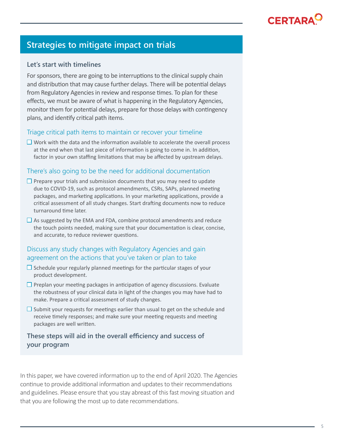

## **Strategies to mitigate impact on trials**

#### **Let's start with timelines**

For sponsors, there are going to be interruptions to the clinical supply chain and distribution that may cause further delays. There will be potential delays from Regulatory Agencies in review and response times. To plan for these effects, we must be aware of what is happening in the Regulatory Agencies, monitor them for potential delays, prepare for those delays with contingency plans, and identify critical path items.

#### Triage critical path items to maintain or recover your timeline

 $\Box$  Work with the data and the information available to accelerate the overall process at the end when that last piece of information is going to come in. In addition, factor in your own staffing limitations that may be affected by upstream delays.

#### There's also going to be the need for additional documentation

- $\Box$  Prepare your trials and submission documents that you may need to update due to COVID-19, such as protocol amendments, CSRs, SAPs, planned meeting packages, and marketing applications. In your marketing applications, provide a critical assessment of all study changes. Start drafting documents now to reduce turnaround time later.
- $\Box$  As suggested by the EMA and FDA, combine protocol amendments and reduce the touch points needed, making sure that your documentation is clear, concise, and accurate, to reduce reviewer questions.

#### Discuss any study changes with Regulatory Agencies and gain agreement on the actions that you've taken or plan to take

- $\square$  Schedule your regularly planned meetings for the particular stages of your product development.
- $\Box$  Preplan your meeting packages in anticipation of agency discussions. Evaluate the robustness of your clinical data in light of the changes you may have had to make. Prepare a critical assessment of study changes.
- $\square$  Submit your requests for meetings earlier than usual to get on the schedule and receive timely responses; and make sure your meeting requests and meeting packages are well written.

#### **These steps will aid in the overall efficiency and success of your program**

In this paper, we have covered information up to the end of April 2020. The Agencies continue to provide additional information and updates to their recommendations and guidelines. Please ensure that you stay abreast of this fast moving situation and that you are following the most up to date recommendations.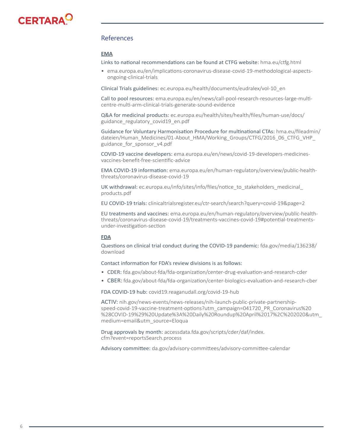

#### References

#### **EMA**

Links to national recommendations can be found at CTFG website: [hma.eu/ctfg.html](https://www.hma.eu/ctfg.html)

• [ema.europa.eu/en/implications-coronavirus-disease-covid-19-methodological-aspects](http://ema.europa.eu/en/implications-coronavirus-disease-covid-19-methodological-aspects-ongoing-clinical-trials)[ongoing-clinical-trials](http://ema.europa.eu/en/implications-coronavirus-disease-covid-19-methodological-aspects-ongoing-clinical-trials)

Clinical Trials guidelines: [ec.europa.eu/health/documents/eudralex/vol-10\\_en](https://ec.europa.eu/health/documents/eudralex/vol-10_en)

Call to pool resources: [ema.europa.eu/en/news/call-pool-research-resources-large-multi](http://ema.europa.eu/en/news/call-pool-research-resources-large-multi-centre-multi-arm-clinical-trials-generate-sound-evidence)[centre-multi-arm-clinical-trials-generate-sound-evidence](http://ema.europa.eu/en/news/call-pool-research-resources-large-multi-centre-multi-arm-clinical-trials-generate-sound-evidence)

Q&A for medicinal products: [ec.europa.eu/health/sites/health/files/human-use/docs/](http://ec.europa.eu/health/sites/health/files/human-use/docs/guidance_regulatory_covid19_en.pdf) guidance regulatory covid19 en.pdf

Guidance for Voluntary Harmonisation Procedure for multinational CTAs: [hma.eu/fileadmin/](https://www.hma.eu/fileadmin/dateien/Human_Medicines/01-About_HMA/Working_Groups/CTFG/2016_06_CTFG_V) dateien/Human\_Medicines/01-About\_HMA/Working\_Groups/CTFG/2016\_06\_CTFG\_VHP [guidance\\_for\\_sponsor\\_v4.pdf](https://www.hma.eu/fileadmin/dateien/Human_Medicines/01-About_HMA/Working_Groups/CTFG/2016_06_CTFG_V)

COVID-19 vaccine developers: [ema.europa.eu/en/news/covid-19-developers-medicines](http://www.ema.europa.eu/en/news/covid-19-developers-medicines-vaccines-benefit-free-scientific-advice)[vaccines-benefit-free-scientific-advice](http://www.ema.europa.eu/en/news/covid-19-developers-medicines-vaccines-benefit-free-scientific-advice)

EMA COVID-19 information: [ema.europa.eu/en/human-regulatory/overview/public-health](http://www.ema.europa.eu/en/human-regulatory/overview/public-health-threats/coronavirus-disease-covid-19 )[threats/coronavirus-disease-covid-19](http://www.ema.europa.eu/en/human-regulatory/overview/public-health-threats/coronavirus-disease-covid-19 ) 

UK withdrawal: [ec.europa.eu/info/sites/info/files/notice\\_to\\_stakeholders\\_medicinal\\_](https://ec.europa.eu/info/sites/info/files/notice_to_stakeholders_medicinal_products.pdf) [products.pdf](https://ec.europa.eu/info/sites/info/files/notice_to_stakeholders_medicinal_products.pdf)

EU COVID-19 trials: [clinicaltrialsregister.eu/ctr-search/search?query=covid-19&page=2](http://www.clinicaltrialsregister.eu/ctr-search/search?query=covid-19&page=2)

EU treatments and vaccines: [ema.europa.eu/en/human-regulatory/overview/public-health](http://ema.europa.eu/en/human-regulatory/overview/public-health-threats/coronavirus-disease-covid-19/treatments-vaccines-covid-19#potential-treatments-under-investigation-section)[threats/coronavirus-disease-covid-19/treatments-vaccines-covid-19#potential-treatments](http://ema.europa.eu/en/human-regulatory/overview/public-health-threats/coronavirus-disease-covid-19/treatments-vaccines-covid-19#potential-treatments-under-investigation-section)[under-investigation-section](http://ema.europa.eu/en/human-regulatory/overview/public-health-threats/coronavirus-disease-covid-19/treatments-vaccines-covid-19#potential-treatments-under-investigation-section)

#### **FDA**

Questions on clinical trial conduct during the COVID-19 pandemic: [fda.gov/media/136238/](https://www.fda.gov/media/136238/download) [download](https://www.fda.gov/media/136238/download)

Contact information for FDA's review divisions is as follows:

- CDER: [fda.gov/about-fda/fda-organization/center-drug-evaluation-and-research-cder](https://www.fda.gov/about-fda/fda-organization/center-drug-evaluation-and-research-cder)
- CBER: [fda.gov/about-fda/fda-organization/center-biologics-evaluation-and-research-cber](https://www.fda.gov/about-fda/fda-organization/center-biologics-evaluation-and-research-cber)

FDA COVID-19 hub: [covid19.reaganudall.org/covid-19-hub](https://covid19.reaganudall.org/covid-19-hub)

ACTIV: [nih.gov/news-events/news-releases/nih-launch-public-private-partnership](https://www.nih.gov/news-events/news-releases/nih-launch-public-private-partnership-speed-covid-19-vaccine-treatment-options?utm_campaign=041720_PR_Coronavirus%20%28COVID-19%29%20Update%3A%20Daily%20Roundup%20April%2017%2C%202020&utm_medium=email&utm_source=Eloqua)[speed-covid-19-vaccine-treatment-options?utm\\_campaign=041720\\_PR\\_Coronavirus%20](https://www.nih.gov/news-events/news-releases/nih-launch-public-private-partnership-speed-covid-19-vaccine-treatment-options?utm_campaign=041720_PR_Coronavirus%20%28COVID-19%29%20Update%3A%20Daily%20Roundup%20April%2017%2C%202020&utm_medium=email&utm_source=Eloqua) [%28COVID-19%29%20Update%3A%20Daily%20Roundup%20April%2017%2C%202020&utm\\_](https://www.nih.gov/news-events/news-releases/nih-launch-public-private-partnership-speed-covid-19-vaccine-treatment-options?utm_campaign=041720_PR_Coronavirus%20%28COVID-19%29%20Update%3A%20Daily%20Roundup%20April%2017%2C%202020&utm_medium=email&utm_source=Eloqua) [medium=email&utm\\_source=Eloqua](https://www.nih.gov/news-events/news-releases/nih-launch-public-private-partnership-speed-covid-19-vaccine-treatment-options?utm_campaign=041720_PR_Coronavirus%20%28COVID-19%29%20Update%3A%20Daily%20Roundup%20April%2017%2C%202020&utm_medium=email&utm_source=Eloqua)

Drug approvals by month: [accessdata.fda.gov/scripts/cder/daf/index.](https://www.accessdata.fda.gov/scripts/cder/daf/index.cfm?event=reportsSearch.process) [cfm?event=reportsSearch.process](https://www.accessdata.fda.gov/scripts/cder/daf/index.cfm?event=reportsSearch.process)

Advisory committee: [da.gov/advisory-committees/advisory-committee-calendar](https://www.fda.gov/advisory-committees/advisory-committee-calendar)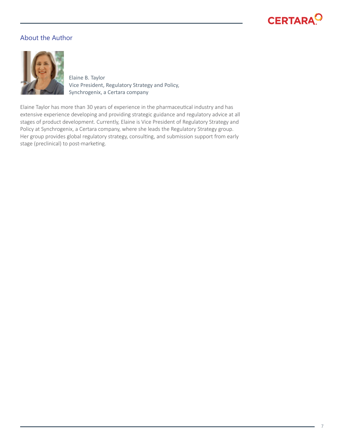## **CERTARA<sup>C</sup>**

#### About the Author



Elaine B. Taylor Vice President, Regulatory Strategy and Policy, Synchrogenix, a Certara company

Elaine Taylor has more than 30 years of experience in the pharmaceutical industry and has extensive experience developing and providing strategic guidance and regulatory advice at all stages of product development. Currently, Elaine is Vice President of Regulatory Strategy and Policy at Synchrogenix, a Certara company, where she leads the Regulatory Strategy group. Her group provides global regulatory strategy, consulting, and submission support from early stage (preclinical) to post-marketing.